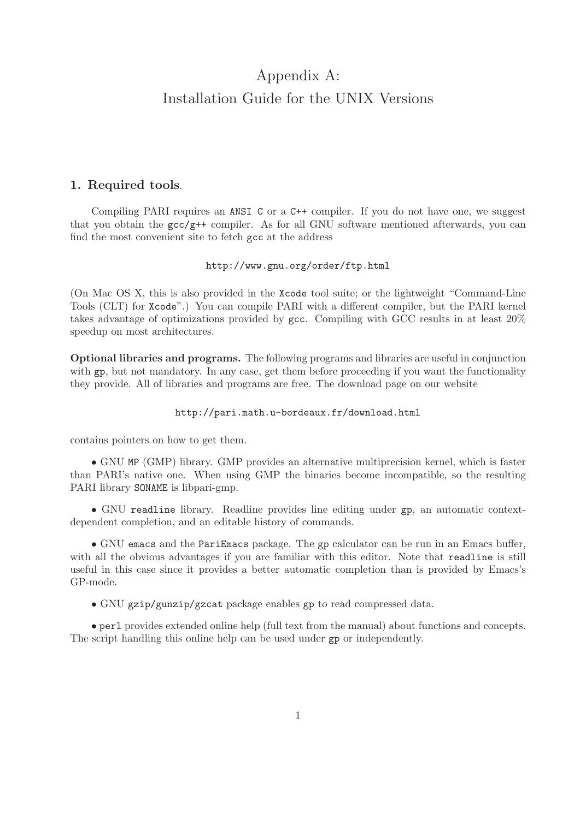# Appendix A: Installation Guide for the UNIX Versions

# 1. Required tools.

Compiling PARI requires an ANSI C or a C++ compiler. If you do not have one, we suggest that you obtain the  $\text{gc}/\text{g}$ ++ compiler. As for all GNU software mentioned afterwards, you can find the most convenient site to fetch gcc at the address

## http://www.gnu.org/order/ftp.html

(On Mac OS X, this is also provided in the Xcode tool suite; or the lightweight "Command-Line Tools (CLT) for Xcode".) You can compile PARI with a different compiler, but the PARI kernel takes advantage of optimizations provided by gcc. Compiling with GCC results in at least 20% speedup on most architectures.

Optional libraries and programs. The following programs and libraries are useful in conjunction with gp, but not mandatory. In any case, get them before proceeding if you want the functionality they provide. All of libraries and programs are free. The download page on our website

## http://pari.math.u-bordeaux.fr/download.html

contains pointers on how to get them.

• GNU MP (GMP) library. GMP provides an alternative multiprecision kernel, which is faster than PARI's native one. When using GMP the binaries become incompatible, so the resulting PARI library SONAME is libpari-gmp.

• GNU readline library. Readline provides line editing under gp, an automatic contextdependent completion, and an editable history of commands.

• GNU emacs and the PariEmacs package. The gp calculator can be run in an Emacs buffer, with all the obvious advantages if you are familiar with this editor. Note that readline is still useful in this case since it provides a better automatic completion than is provided by Emacs's GP-mode.

• GNU gzip/gunzip/gzcat package enables gp to read compressed data.

• perl provides extended online help (full text from the manual) about functions and concepts. The script handling this online help can be used under gp or independently.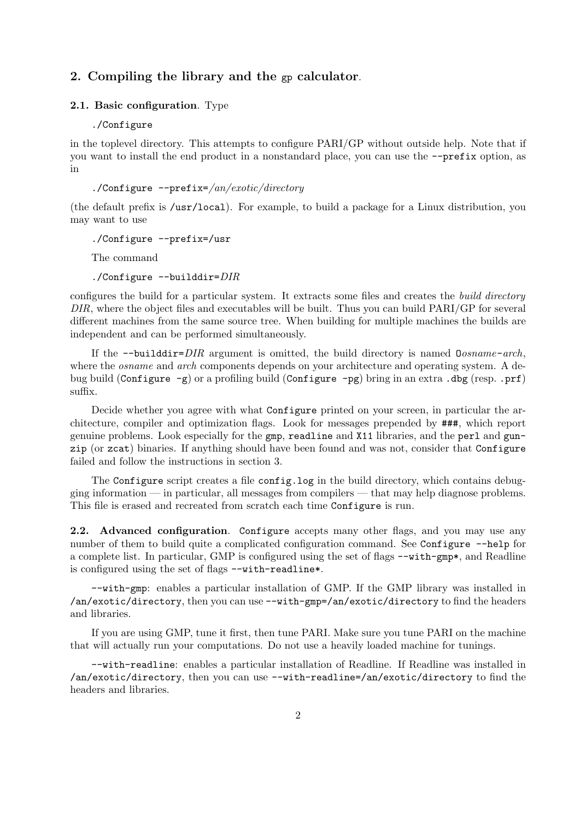# 2. Compiling the library and the gp calculator.

# 2.1. Basic configuration. Type

### ./Configure

in the toplevel directory. This attempts to configure PARI/GP without outside help. Note that if you want to install the end product in a nonstandard place, you can use the --prefix option, as in

## ./Configure --prefix=/an/exotic/directory

(the default prefix is /usr/local). For example, to build a package for a Linux distribution, you may want to use

./Configure --prefix=/usr

The command

./Configure --builddir=DIR

configures the build for a particular system. It extracts some files and creates the build directory DIR, where the object files and executables will be built. Thus you can build PARI/GP for several different machines from the same source tree. When building for multiple machines the builds are independent and can be performed simultaneously.

If the  $--$ builddir= $DIR$  argument is omitted, the build directory is named  $Oosname-arch$ , where the *osname* and *arch* components depends on your architecture and operating system. A debug build (Configure  $-g$ ) or a profiling build (Configure  $-pg$ ) bring in an extra .dbg (resp. .prf) suffix.

Decide whether you agree with what Configure printed on your screen, in particular the architecture, compiler and optimization flags. Look for messages prepended by ###, which report genuine problems. Look especially for the gmp, readline and X11 libraries, and the perl and gunzip (or zcat) binaries. If anything should have been found and was not, consider that Configure failed and follow the instructions in section 3.

The Configure script creates a file config.log in the build directory, which contains debugging information — in particular, all messages from compilers — that may help diagnose problems. This file is erased and recreated from scratch each time Configure is run.

2.2. Advanced configuration. Configure accepts many other flags, and you may use any number of them to build quite a complicated configuration command. See Configure  $-$ help for a complete list. In particular, GMP is configured using the set of flags --with-gmp\*, and Readline is configured using the set of flags --with-readline\*.

--with-gmp: enables a particular installation of GMP. If the GMP library was installed in /an/exotic/directory, then you can use --with-gmp=/an/exotic/directory to find the headers and libraries.

If you are using GMP, tune it first, then tune PARI. Make sure you tune PARI on the machine that will actually run your computations. Do not use a heavily loaded machine for tunings.

--with-readline: enables a particular installation of Readline. If Readline was installed in /an/exotic/directory, then you can use --with-readline=/an/exotic/directory to find the headers and libraries.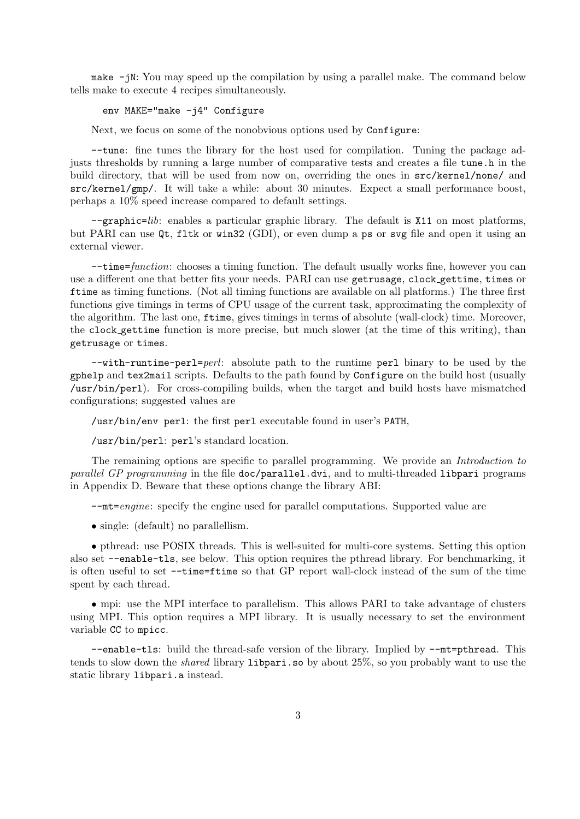make -jN: You may speed up the compilation by using a parallel make. The command below tells make to execute 4 recipes simultaneously.

env MAKE="make -j4" Configure

Next, we focus on some of the nonobvious options used by Configure:

--tune: fine tunes the library for the host used for compilation. Tuning the package adjusts thresholds by running a large number of comparative tests and creates a file tune.h in the build directory, that will be used from now on, overriding the ones in src/kernel/none/ and src/kernel/gmp/. It will take a while: about 30 minutes. Expect a small performance boost, perhaps a 10% speed increase compared to default settings.

--graphic=lib: enables a particular graphic library. The default is X11 on most platforms, but PARI can use Qt, fltk or win32 (GDI), or even dump a ps or svg file and open it using an external viewer.

--time=function: chooses a timing function. The default usually works fine, however you can use a different one that better fits your needs. PARI can use getrusage, clock gettime, times or ftime as timing functions. (Not all timing functions are available on all platforms.) The three first functions give timings in terms of CPU usage of the current task, approximating the complexity of the algorithm. The last one, ftime, gives timings in terms of absolute (wall-clock) time. Moreover, the clock gettime function is more precise, but much slower (at the time of this writing), than getrusage or times.

 $--with-runtime-perl=perl$ : absolute path to the runtime perl binary to be used by the gphelp and tex2mail scripts. Defaults to the path found by Configure on the build host (usually /usr/bin/perl). For cross-compiling builds, when the target and build hosts have mismatched configurations; suggested values are

/usr/bin/env perl: the first perl executable found in user's PATH,

/usr/bin/perl: perl's standard location.

The remaining options are specific to parallel programming. We provide an Introduction to parallel GP programming in the file doc/parallel.dvi, and to multi-threaded libpari programs in Appendix D. Beware that these options change the library ABI:

--mt=engine: specify the engine used for parallel computations. Supported value are

• single: (default) no parallellism.

• pthread: use POSIX threads. This is well-suited for multi-core systems. Setting this option also set --enable-tls, see below. This option requires the pthread library. For benchmarking, it is often useful to set --time=ftime so that GP report wall-clock instead of the sum of the time spent by each thread.

• mpi: use the MPI interface to parallelism. This allows PARI to take advantage of clusters using MPI. This option requires a MPI library. It is usually necessary to set the environment variable CC to mpicc.

--enable-tls: build the thread-safe version of the library. Implied by --mt=pthread. This tends to slow down the shared library libpari.so by about 25%, so you probably want to use the static library libpari.a instead.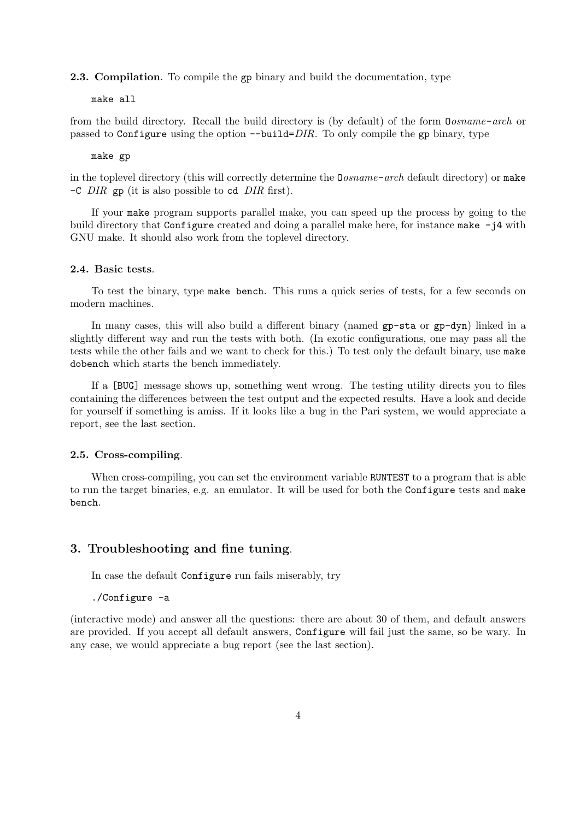#### 2.3. Compilation. To compile the gp binary and build the documentation, type

## make all

from the build directory. Recall the build directory is (by default) of the form Oosname-arch or passed to Configure using the option  $-\text{build}=DIR$ . To only compile the gp binary, type

#### make gp

in the toplevel directory (this will correctly determine the  $\Omega \sigma$ *sname-arch* default directory) or make  $-C$  DIR gp (it is also possible to cd DIR first).

If your make program supports parallel make, you can speed up the process by going to the build directory that Configure created and doing a parallel make here, for instance make -j4 with GNU make. It should also work from the toplevel directory.

#### 2.4. Basic tests.

To test the binary, type make bench. This runs a quick series of tests, for a few seconds on modern machines.

In many cases, this will also build a different binary (named gp-sta or gp-dyn) linked in a slightly different way and run the tests with both. (In exotic configurations, one may pass all the tests while the other fails and we want to check for this.) To test only the default binary, use make dobench which starts the bench immediately.

If a [BUG] message shows up, something went wrong. The testing utility directs you to files containing the differences between the test output and the expected results. Have a look and decide for yourself if something is amiss. If it looks like a bug in the Pari system, we would appreciate a report, see the last section.

#### 2.5. Cross-compiling.

When cross-compiling, you can set the environment variable RUNTEST to a program that is able to run the target binaries, e.g. an emulator. It will be used for both the Configure tests and make bench.

# 3. Troubleshooting and fine tuning.

In case the default Configure run fails miserably, try

./Configure -a

(interactive mode) and answer all the questions: there are about 30 of them, and default answers are provided. If you accept all default answers, Configure will fail just the same, so be wary. In any case, we would appreciate a bug report (see the last section).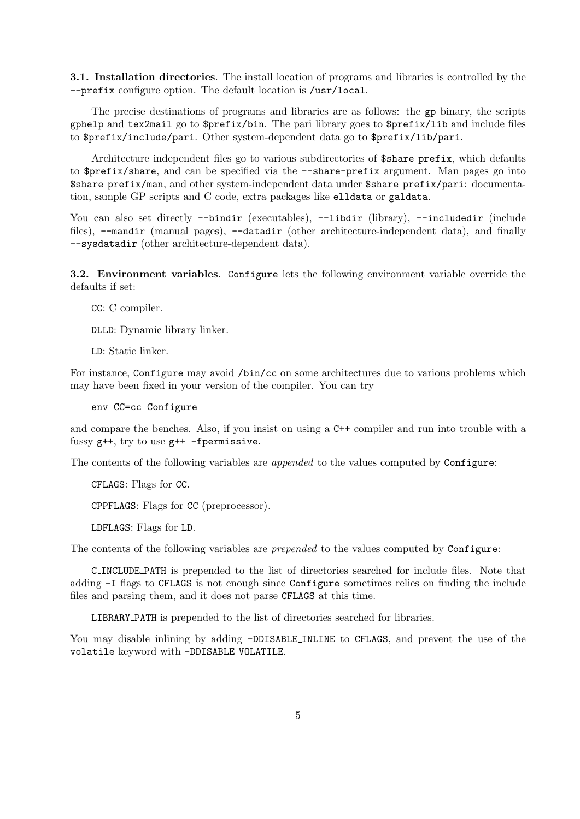3.1. Installation directories. The install location of programs and libraries is controlled by the --prefix configure option. The default location is /usr/local.

The precise destinations of programs and libraries are as follows: the gp binary, the scripts gphelp and tex2mail go to \$prefix/bin. The pari library goes to \$prefix/lib and include files to \$prefix/include/pari. Other system-dependent data go to \$prefix/lib/pari.

Architecture independent files go to various subdirectories of \$share prefix, which defaults to \$prefix/share, and can be specified via the --share-prefix argument. Man pages go into \$share prefix/man, and other system-independent data under \$share prefix/pari: documentation, sample GP scripts and C code, extra packages like elldata or galdata.

You can also set directly --bindir (executables), --libdir (library), --includedir (include files), --mandir (manual pages), --datadir (other architecture-independent data), and finally --sysdatadir (other architecture-dependent data).

3.2. Environment variables. Configure lets the following environment variable override the defaults if set:

CC: C compiler.

DLLD: Dynamic library linker.

LD: Static linker.

For instance, Configure may avoid /bin/cc on some architectures due to various problems which may have been fixed in your version of the compiler. You can try

env CC=cc Configure

and compare the benches. Also, if you insist on using a C++ compiler and run into trouble with a fussy g++, try to use g++ -fpermissive.

The contents of the following variables are *appended* to the values computed by Configure:

CFLAGS: Flags for CC.

CPPFLAGS: Flags for CC (preprocessor).

LDFLAGS: Flags for LD.

The contents of the following variables are *prepended* to the values computed by Configure:

C INCLUDE PATH is prepended to the list of directories searched for include files. Note that adding -I flags to CFLAGS is not enough since Configure sometimes relies on finding the include files and parsing them, and it does not parse CFLAGS at this time.

LIBRARY PATH is prepended to the list of directories searched for libraries.

You may disable inlining by adding -DDISABLE INLINE to CFLAGS, and prevent the use of the volatile keyword with -DDISABLE VOLATILE.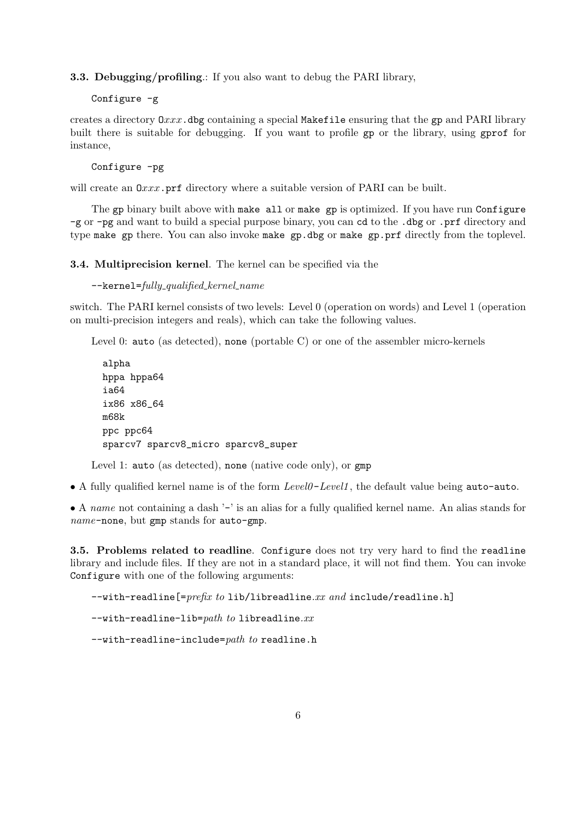3.3. Debugging/profiling.: If you also want to debug the PARI library,

Configure -g

creates a directory  $0xxx$ . dbg containing a special Makefile ensuring that the gp and PARI library built there is suitable for debugging. If you want to profile gp or the library, using gprof for instance,

Configure -pg

will create an  $0xxx$ , prf directory where a suitable version of PARI can be built.

The gp binary built above with make all or make gp is optimized. If you have run Configure -g or -pg and want to build a special purpose binary, you can cd to the .dbg or .prf directory and type make gp there. You can also invoke make gp.dbg or make gp.prf directly from the toplevel.

#### 3.4. Multiprecision kernel. The kernel can be specified via the

```
--\kappaernel=fully_qualified_kernel_name
```
switch. The PARI kernel consists of two levels: Level 0 (operation on words) and Level 1 (operation on multi-precision integers and reals), which can take the following values.

Level 0: auto (as detected), none (portable C) or one of the assembler micro-kernels

```
alpha
hppa hppa64
ia64
ix86 x86_64
m68k
ppc ppc64
sparcv7 sparcv8_micro sparcv8_super
```
Level 1: auto (as detected), none (native code only), or gmp

• A fully qualified kernel name is of the form Level0 -Level1 , the default value being auto-auto.

• A name not containing a dash '-' is an alias for a fully qualified kernel name. An alias stands for name-none, but gmp stands for auto-gmp.

3.5. Problems related to readline. Configure does not try very hard to find the readline library and include files. If they are not in a standard place, it will not find them. You can invoke Configure with one of the following arguments:

 $--with-readline[=prefix to lib/libreadline.xx and include/readline.h]$ 

```
--with-readline-lib=path to libreadline.xx
```
 $--with-readline-include=path to readline.h$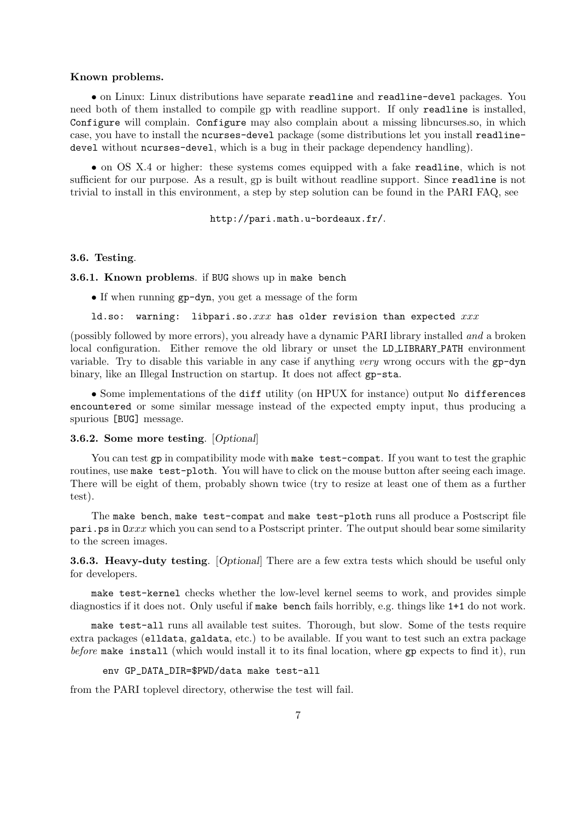#### Known problems.

• on Linux: Linux distributions have separate readline and readline-devel packages. You need both of them installed to compile gp with readline support. If only readline is installed, Configure will complain. Configure may also complain about a missing libncurses.so, in which case, you have to install the ncurses-devel package (some distributions let you install readlinedevel without ncurses-devel, which is a bug in their package dependency handling).

• on OS X.4 or higher: these systems comes equipped with a fake readline, which is not sufficient for our purpose. As a result, gp is built without readline support. Since readline is not trivial to install in this environment, a step by step solution can be found in the PARI FAQ, see

#### http://pari.math.u-bordeaux.fr/.

#### 3.6. Testing.

#### 3.6.1. Known problems. if BUG shows up in make bench

• If when running gp-dyn, you get a message of the form

## ld.so: warning: libpari.so. $xxx$  has older revision than expected  $xxx$

(possibly followed by more errors), you already have a dynamic PARI library installed and a broken local configuration. Either remove the old library or unset the LD LIBRARY PATH environment variable. Try to disable this variable in any case if anything very wrong occurs with the gp-dyn binary, like an Illegal Instruction on startup. It does not affect gp-sta.

• Some implementations of the diff utility (on HPUX for instance) output No differences encountered or some similar message instead of the expected empty input, thus producing a spurious [BUG] message.

#### 3.6.2. Some more testing. [Optional]

You can test gp in compatibility mode with make test-compat. If you want to test the graphic routines, use make test-ploth. You will have to click on the mouse button after seeing each image. There will be eight of them, probably shown twice (try to resize at least one of them as a further test).

The make bench, make test-compat and make test-ploth runs all produce a Postscript file  $\text{pari.}$  ps in  $0xxx$  which you can send to a Postscript printer. The output should bear some similarity to the screen images.

3.6.3. Heavy-duty testing. [Optional] There are a few extra tests which should be useful only for developers.

make test-kernel checks whether the low-level kernel seems to work, and provides simple diagnostics if it does not. Only useful if make bench fails horribly, e.g. things like 1+1 do not work.

make test-all runs all available test suites. Thorough, but slow. Some of the tests require extra packages (elldata, galdata, etc.) to be available. If you want to test such an extra package before make install (which would install it to its final location, where gp expects to find it), run

## env GP\_DATA\_DIR=\$PWD/data make test-all

from the PARI toplevel directory, otherwise the test will fail.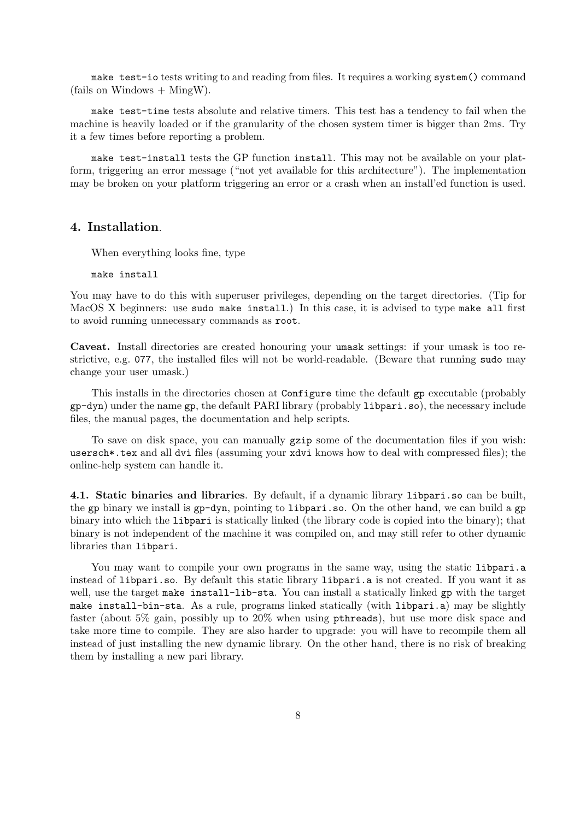make test-io tests writing to and reading from files. It requires a working system() command  $(fails on Windows + MingW).$ 

make test-time tests absolute and relative timers. This test has a tendency to fail when the machine is heavily loaded or if the granularity of the chosen system timer is bigger than 2ms. Try it a few times before reporting a problem.

make test-install tests the GP function install. This may not be available on your platform, triggering an error message ("not yet available for this architecture"). The implementation may be broken on your platform triggering an error or a crash when an install'ed function is used.

## 4. Installation.

When everything looks fine, type

make install

You may have to do this with superuser privileges, depending on the target directories. (Tip for MacOS X beginners: use sudo make install.) In this case, it is advised to type make all first to avoid running unnecessary commands as root.

Caveat. Install directories are created honouring your umask settings: if your umask is too restrictive, e.g. 077, the installed files will not be world-readable. (Beware that running sudo may change your user umask.)

This installs in the directories chosen at Configure time the default gp executable (probably gp-dyn) under the name gp, the default PARI library (probably libpari.so), the necessary include files, the manual pages, the documentation and help scripts.

To save on disk space, you can manually gzip some of the documentation files if you wish: usersch\*.tex and all dvi files (assuming your xdvi knows how to deal with compressed files); the online-help system can handle it.

4.1. Static binaries and libraries. By default, if a dynamic library libpari.so can be built, the gp binary we install is gp-dyn, pointing to libpari.so. On the other hand, we can build a gp binary into which the libpari is statically linked (the library code is copied into the binary); that binary is not independent of the machine it was compiled on, and may still refer to other dynamic libraries than libpari.

You may want to compile your own programs in the same way, using the static libpari.a instead of libpari.so. By default this static library libpari.a is not created. If you want it as well, use the target make install-lib-sta. You can install a statically linked gp with the target make install-bin-sta. As a rule, programs linked statically (with libpari.a) may be slightly faster (about 5% gain, possibly up to 20% when using pthreads), but use more disk space and take more time to compile. They are also harder to upgrade: you will have to recompile them all instead of just installing the new dynamic library. On the other hand, there is no risk of breaking them by installing a new pari library.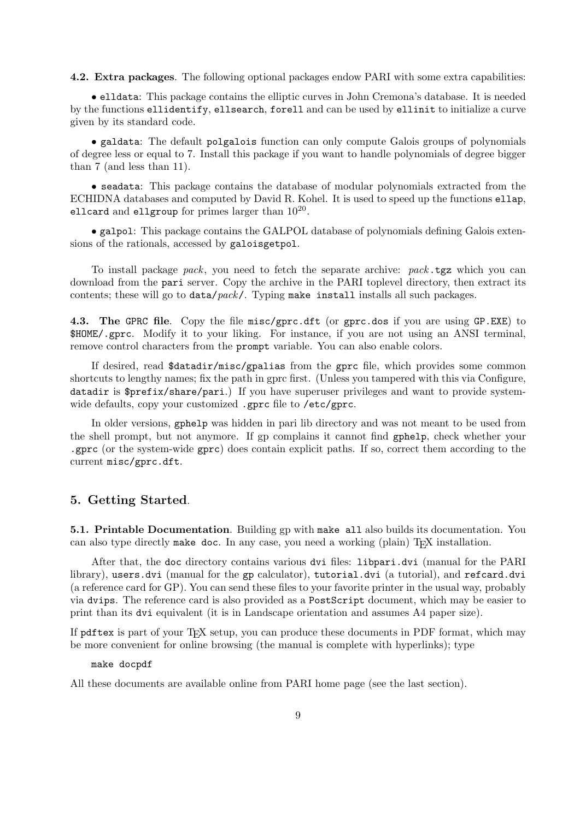4.2. Extra packages. The following optional packages endow PARI with some extra capabilities:

• elldata: This package contains the elliptic curves in John Cremona's database. It is needed by the functions ellidentify, ellsearch, forell and can be used by ellinit to initialize a curve given by its standard code.

• galdata: The default polgalois function can only compute Galois groups of polynomials of degree less or equal to 7. Install this package if you want to handle polynomials of degree bigger than 7 (and less than 11).

• seadata: This package contains the database of modular polynomials extracted from the ECHIDNA databases and computed by David R. Kohel. It is used to speed up the functions ellap, ellcard and ellgroup for primes larger than  $10^{20}$ .

• galpol: This package contains the GALPOL database of polynomials defining Galois extensions of the rationals, accessed by galoisgetpol.

To install package pack, you need to fetch the separate archive:  $pack.$  tgz which you can download from the pari server. Copy the archive in the PARI toplevel directory, then extract its contents; these will go to  $data / pack$ . Typing make install installs all such packages.

4.3. The GPRC file. Copy the file misc/gprc.dft (or gprc.dos if you are using GP.EXE) to \$HOME/.gprc. Modify it to your liking. For instance, if you are not using an ANSI terminal, remove control characters from the prompt variable. You can also enable colors.

If desired, read \$datadir/misc/gpalias from the gprc file, which provides some common shortcuts to lengthy names; fix the path in gprc first. (Unless you tampered with this via Configure, datadir is \$prefix/share/pari.) If you have superuser privileges and want to provide systemwide defaults, copy your customized .gprc file to /etc/gprc.

In older versions, gphelp was hidden in pari lib directory and was not meant to be used from the shell prompt, but not anymore. If gp complains it cannot find gphelp, check whether your .gprc (or the system-wide gprc) does contain explicit paths. If so, correct them according to the current misc/gprc.dft.

# 5. Getting Started.

5.1. Printable Documentation. Building gp with make all also builds its documentation. You can also type directly make doc. In any case, you need a working (plain) T<sub>E</sub>X installation.

After that, the doc directory contains various dvi files: libpari.dvi (manual for the PARI library), users.dvi (manual for the gp calculator), tutorial.dvi (a tutorial), and refcard.dvi (a reference card for GP). You can send these files to your favorite printer in the usual way, probably via dvips. The reference card is also provided as a PostScript document, which may be easier to print than its dvi equivalent (it is in Landscape orientation and assumes A4 paper size).

If pdftex is part of your TEX setup, you can produce these documents in PDF format, which may be more convenient for online browsing (the manual is complete with hyperlinks); type

make docpdf

All these documents are available online from PARI home page (see the last section).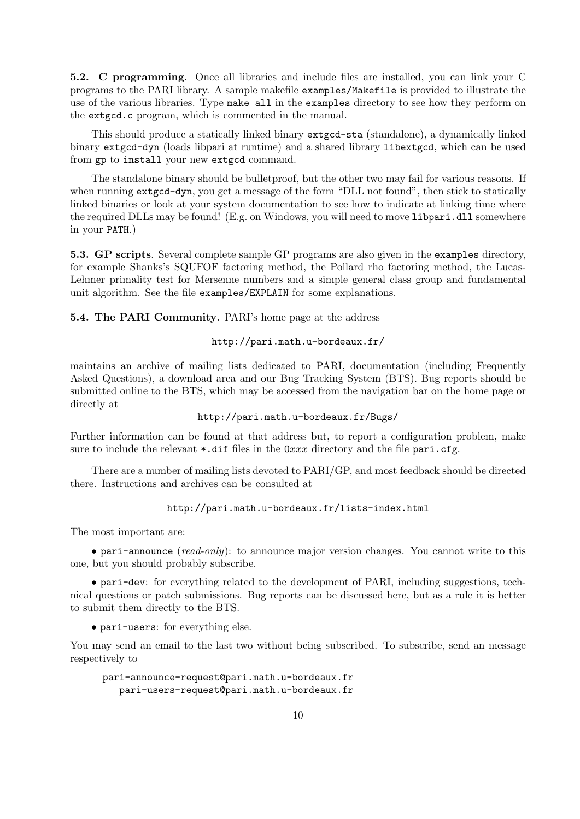5.2. C programming. Once all libraries and include files are installed, you can link your C programs to the PARI library. A sample makefile examples/Makefile is provided to illustrate the use of the various libraries. Type make all in the examples directory to see how they perform on the extgcd.c program, which is commented in the manual.

This should produce a statically linked binary extgcd-sta (standalone), a dynamically linked binary extgcd-dyn (loads libpari at runtime) and a shared library libextgcd, which can be used from gp to install your new extgcd command.

The standalone binary should be bulletproof, but the other two may fail for various reasons. If when running extgcd-dyn, you get a message of the form "DLL not found", then stick to statically linked binaries or look at your system documentation to see how to indicate at linking time where the required DLLs may be found! (E.g. on Windows, you will need to move libpari.dll somewhere in your PATH.)

5.3. GP scripts. Several complete sample GP programs are also given in the examples directory, for example Shanks's SQUFOF factoring method, the Pollard rho factoring method, the Lucas-Lehmer primality test for Mersenne numbers and a simple general class group and fundamental unit algorithm. See the file examples/EXPLAIN for some explanations.

5.4. The PARI Community. PARI's home page at the address

## http://pari.math.u-bordeaux.fr/

maintains an archive of mailing lists dedicated to PARI, documentation (including Frequently Asked Questions), a download area and our Bug Tracking System (BTS). Bug reports should be submitted online to the BTS, which may be accessed from the navigation bar on the home page or directly at

# http://pari.math.u-bordeaux.fr/Bugs/

Further information can be found at that address but, to report a configuration problem, make sure to include the relevant  $\ast$ .dif files in the  $0xxx$  directory and the file pari.cfg.

There are a number of mailing lists devoted to PARI/GP, and most feedback should be directed there. Instructions and archives can be consulted at

## http://pari.math.u-bordeaux.fr/lists-index.html

The most important are:

• pari-announce (read-only): to announce major version changes. You cannot write to this one, but you should probably subscribe.

• pari-dev: for everything related to the development of PARI, including suggestions, technical questions or patch submissions. Bug reports can be discussed here, but as a rule it is better to submit them directly to the BTS.

• pari-users: for everything else.

You may send an email to the last two without being subscribed. To subscribe, send an message respectively to

pari-announce-request@pari.math.u-bordeaux.fr pari-users-request@pari.math.u-bordeaux.fr